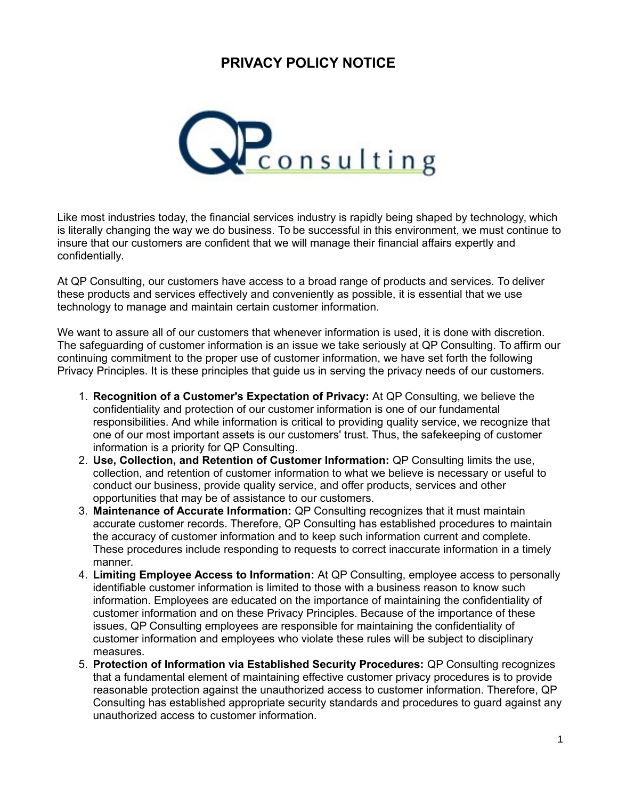## **PRIVACY POLICY NOTICE**



Like most industries today, the financial services industry is rapidly being shaped by technology, which is literally changing the way we do business. To be successful in this environment, we must continue to insure that our customers are confident that we will manage their financial affairs expertly and confidentially.

At QP Consulting, our customers have access to a broad range of products and services. To deliver these products and services effectively and conveniently as possible, it is essential that we use technology to manage and maintain certain customer information.

We want to assure all of our customers that whenever information is used, it is done with discretion. The safeguarding of customer information is an issue we take seriously at QP Consulting. To affirm our continuing commitment to the proper use of customer information, we have set forth the following Privacy Principles. It is these principles that guide us in serving the privacy needs of our customers.

- 1. **Recognition of a Customer's Expectation of Privacy:** At QP Consulting, we believe the confidentiality and protection of our customer information is one of our fundamental responsibilities. And while information is critical to providing quality service, we recognize that one of our most important assets is our customers' trust. Thus, the safekeeping of customer information is a priority for QP Consulting.
- 2. **Use, Collection, and Retention of Customer Information:** QP Consulting limits the use, collection, and retention of customer information to what we believe is necessary or useful to conduct our business, provide quality service, and offer products, services and other opportunities that may be of assistance to our customers.
- 3. **Maintenance of Accurate Information:** QP Consulting recognizes that it must maintain accurate customer records. Therefore, QP Consulting has established procedures to maintain the accuracy of customer information and to keep such information current and complete. These procedures include responding to requests to correct inaccurate information in a timely manner.
- 4. **Limiting Employee Access to Information:** At QP Consulting, employee access to personally identifiable customer information is limited to those with a business reason to know such information. Employees are educated on the importance of maintaining the confidentiality of customer information and on these Privacy Principles. Because of the importance of these issues, QP Consulting employees are responsible for maintaining the confidentiality of customer information and employees who violate these rules will be subject to disciplinary measures.
- 5. **Protection of Information via Established Security Procedures:** QP Consulting recognizes that a fundamental element of maintaining effective customer privacy procedures is to provide reasonable protection against the unauthorized access to customer information. Therefore, QP Consulting has established appropriate security standards and procedures to guard against any unauthorized access to customer information.